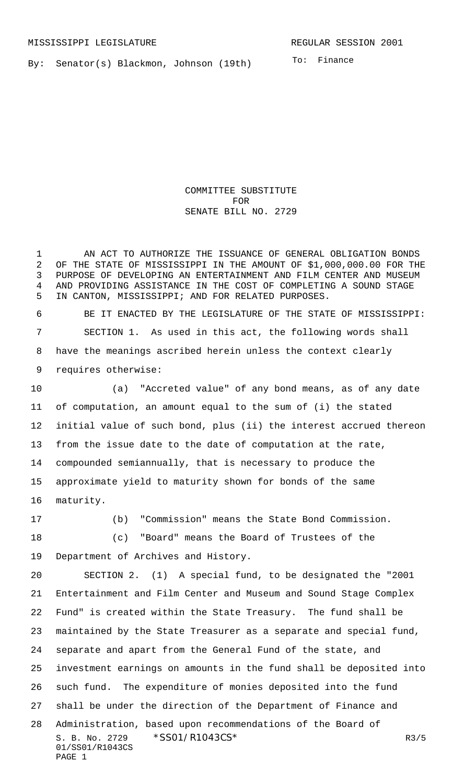By: Senator(s) Blackmon, Johnson (19th)

To: Finance

COMMITTEE SUBSTITUTE FOR SENATE BILL NO. 2729

1 AN ACT TO AUTHORIZE THE ISSUANCE OF GENERAL OBLIGATION BONDS OF THE STATE OF MISSISSIPPI IN THE AMOUNT OF \$1,000,000.00 FOR THE PURPOSE OF DEVELOPING AN ENTERTAINMENT AND FILM CENTER AND MUSEUM AND PROVIDING ASSISTANCE IN THE COST OF COMPLETING A SOUND STAGE IN CANTON, MISSISSIPPI; AND FOR RELATED PURPOSES.

 BE IT ENACTED BY THE LEGISLATURE OF THE STATE OF MISSISSIPPI: SECTION 1. As used in this act, the following words shall have the meanings ascribed herein unless the context clearly requires otherwise:

 (a) "Accreted value" of any bond means, as of any date of computation, an amount equal to the sum of (i) the stated initial value of such bond, plus (ii) the interest accrued thereon from the issue date to the date of computation at the rate, compounded semiannually, that is necessary to produce the approximate yield to maturity shown for bonds of the same maturity.

 (b) "Commission" means the State Bond Commission. (c) "Board" means the Board of Trustees of the

Department of Archives and History.

S. B. No. 2729 \* SS01/R1043CS\* R3/5 01/SS01/R1043CS PAGE 1 SECTION 2. (1) A special fund, to be designated the "2001 Entertainment and Film Center and Museum and Sound Stage Complex Fund" is created within the State Treasury. The fund shall be maintained by the State Treasurer as a separate and special fund, separate and apart from the General Fund of the state, and investment earnings on amounts in the fund shall be deposited into such fund. The expenditure of monies deposited into the fund shall be under the direction of the Department of Finance and Administration, based upon recommendations of the Board of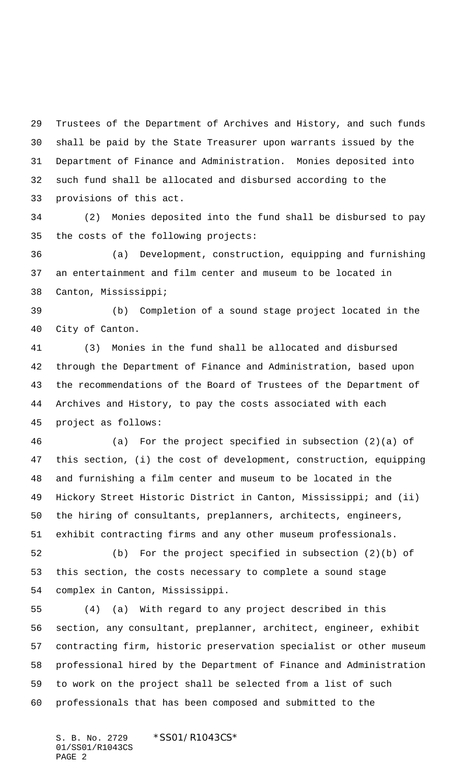Trustees of the Department of Archives and History, and such funds shall be paid by the State Treasurer upon warrants issued by the Department of Finance and Administration. Monies deposited into such fund shall be allocated and disbursed according to the provisions of this act.

 (2) Monies deposited into the fund shall be disbursed to pay the costs of the following projects:

 (a) Development, construction, equipping and furnishing an entertainment and film center and museum to be located in Canton, Mississippi;

 (b) Completion of a sound stage project located in the City of Canton.

 (3) Monies in the fund shall be allocated and disbursed through the Department of Finance and Administration, based upon the recommendations of the Board of Trustees of the Department of Archives and History, to pay the costs associated with each project as follows:

 (a) For the project specified in subsection (2)(a) of this section, (i) the cost of development, construction, equipping and furnishing a film center and museum to be located in the Hickory Street Historic District in Canton, Mississippi; and (ii) the hiring of consultants, preplanners, architects, engineers, exhibit contracting firms and any other museum professionals.

 (b) For the project specified in subsection (2)(b) of this section, the costs necessary to complete a sound stage complex in Canton, Mississippi.

 (4) (a) With regard to any project described in this section, any consultant, preplanner, architect, engineer, exhibit contracting firm, historic preservation specialist or other museum professional hired by the Department of Finance and Administration to work on the project shall be selected from a list of such professionals that has been composed and submitted to the

S. B. No. 2729 \*SS01/R1043CS\* 01/SS01/R1043CS PAGE 2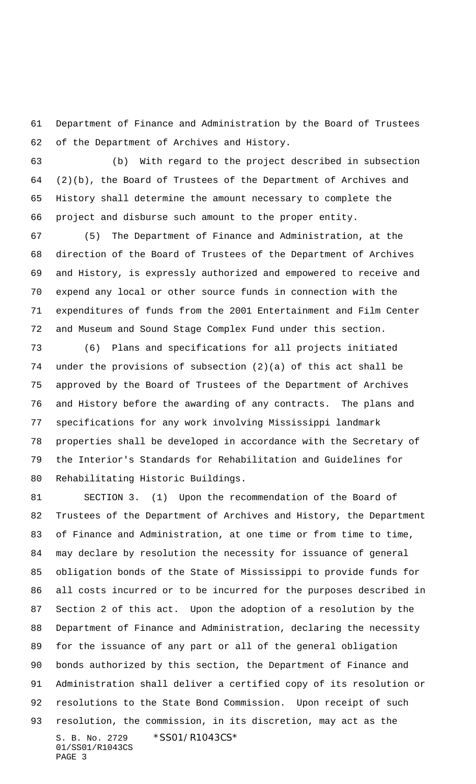Department of Finance and Administration by the Board of Trustees of the Department of Archives and History.

 (b) With regard to the project described in subsection (2)(b), the Board of Trustees of the Department of Archives and History shall determine the amount necessary to complete the project and disburse such amount to the proper entity.

 (5) The Department of Finance and Administration, at the direction of the Board of Trustees of the Department of Archives and History, is expressly authorized and empowered to receive and expend any local or other source funds in connection with the expenditures of funds from the 2001 Entertainment and Film Center and Museum and Sound Stage Complex Fund under this section.

 (6) Plans and specifications for all projects initiated under the provisions of subsection (2)(a) of this act shall be approved by the Board of Trustees of the Department of Archives and History before the awarding of any contracts. The plans and specifications for any work involving Mississippi landmark properties shall be developed in accordance with the Secretary of the Interior's Standards for Rehabilitation and Guidelines for Rehabilitating Historic Buildings.

S. B. No. 2729 \* SS01/R1043CS\* 01/SS01/R1043CS PAGE 3 SECTION 3. (1) Upon the recommendation of the Board of Trustees of the Department of Archives and History, the Department of Finance and Administration, at one time or from time to time, may declare by resolution the necessity for issuance of general obligation bonds of the State of Mississippi to provide funds for all costs incurred or to be incurred for the purposes described in Section 2 of this act. Upon the adoption of a resolution by the Department of Finance and Administration, declaring the necessity for the issuance of any part or all of the general obligation bonds authorized by this section, the Department of Finance and Administration shall deliver a certified copy of its resolution or resolutions to the State Bond Commission. Upon receipt of such resolution, the commission, in its discretion, may act as the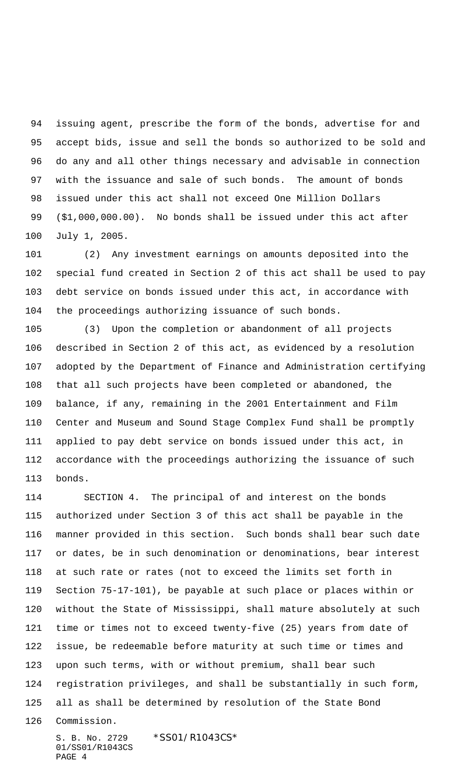issuing agent, prescribe the form of the bonds, advertise for and accept bids, issue and sell the bonds so authorized to be sold and do any and all other things necessary and advisable in connection with the issuance and sale of such bonds. The amount of bonds issued under this act shall not exceed One Million Dollars (\$1,000,000.00). No bonds shall be issued under this act after July 1, 2005.

 (2) Any investment earnings on amounts deposited into the special fund created in Section 2 of this act shall be used to pay debt service on bonds issued under this act, in accordance with the proceedings authorizing issuance of such bonds.

 (3) Upon the completion or abandonment of all projects described in Section 2 of this act, as evidenced by a resolution adopted by the Department of Finance and Administration certifying that all such projects have been completed or abandoned, the balance, if any, remaining in the 2001 Entertainment and Film Center and Museum and Sound Stage Complex Fund shall be promptly applied to pay debt service on bonds issued under this act, in accordance with the proceedings authorizing the issuance of such bonds.

 SECTION 4. The principal of and interest on the bonds authorized under Section 3 of this act shall be payable in the manner provided in this section. Such bonds shall bear such date or dates, be in such denomination or denominations, bear interest at such rate or rates (not to exceed the limits set forth in Section 75-17-101), be payable at such place or places within or without the State of Mississippi, shall mature absolutely at such time or times not to exceed twenty-five (25) years from date of issue, be redeemable before maturity at such time or times and upon such terms, with or without premium, shall bear such registration privileges, and shall be substantially in such form, all as shall be determined by resolution of the State Bond

Commission.

S. B. No. 2729 \* SS01/R1043CS\* 01/SS01/R1043CS PAGE 4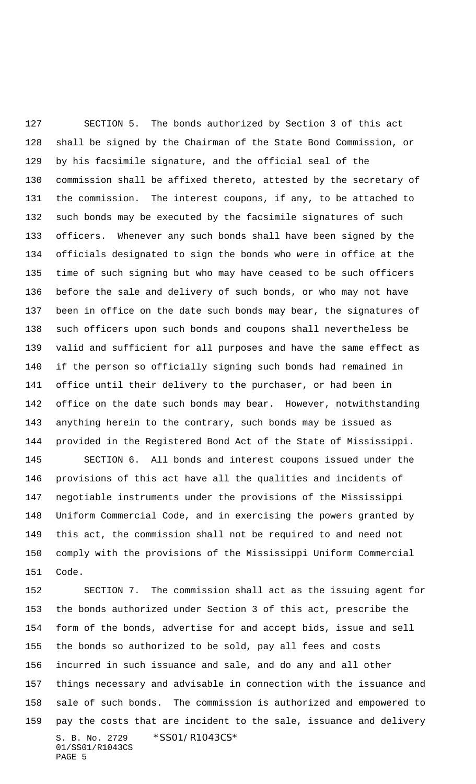SECTION 5. The bonds authorized by Section 3 of this act shall be signed by the Chairman of the State Bond Commission, or by his facsimile signature, and the official seal of the commission shall be affixed thereto, attested by the secretary of the commission. The interest coupons, if any, to be attached to such bonds may be executed by the facsimile signatures of such officers. Whenever any such bonds shall have been signed by the officials designated to sign the bonds who were in office at the time of such signing but who may have ceased to be such officers before the sale and delivery of such bonds, or who may not have been in office on the date such bonds may bear, the signatures of such officers upon such bonds and coupons shall nevertheless be valid and sufficient for all purposes and have the same effect as if the person so officially signing such bonds had remained in office until their delivery to the purchaser, or had been in office on the date such bonds may bear. However, notwithstanding anything herein to the contrary, such bonds may be issued as provided in the Registered Bond Act of the State of Mississippi. SECTION 6. All bonds and interest coupons issued under the provisions of this act have all the qualities and incidents of negotiable instruments under the provisions of the Mississippi Uniform Commercial Code, and in exercising the powers granted by this act, the commission shall not be required to and need not comply with the provisions of the Mississippi Uniform Commercial Code.

S. B. No. 2729 \*SS01/R1043CS\* 01/SS01/R1043CS PAGE 5 SECTION 7. The commission shall act as the issuing agent for the bonds authorized under Section 3 of this act, prescribe the form of the bonds, advertise for and accept bids, issue and sell the bonds so authorized to be sold, pay all fees and costs incurred in such issuance and sale, and do any and all other things necessary and advisable in connection with the issuance and sale of such bonds. The commission is authorized and empowered to pay the costs that are incident to the sale, issuance and delivery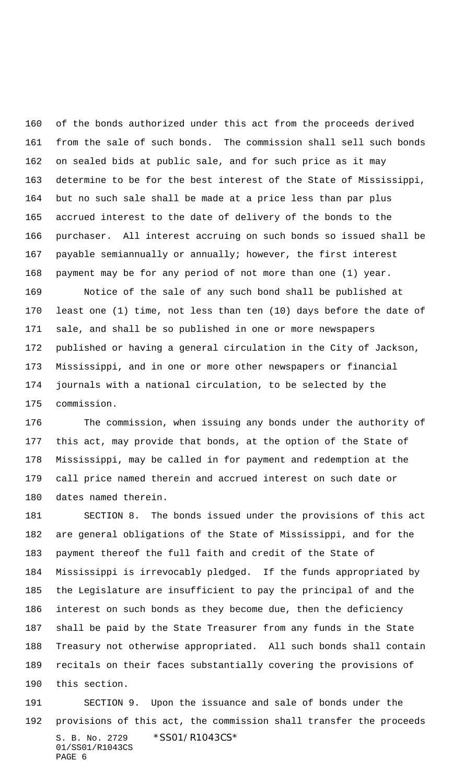of the bonds authorized under this act from the proceeds derived from the sale of such bonds. The commission shall sell such bonds on sealed bids at public sale, and for such price as it may determine to be for the best interest of the State of Mississippi, but no such sale shall be made at a price less than par plus accrued interest to the date of delivery of the bonds to the purchaser. All interest accruing on such bonds so issued shall be payable semiannually or annually; however, the first interest payment may be for any period of not more than one (1) year.

 Notice of the sale of any such bond shall be published at least one (1) time, not less than ten (10) days before the date of sale, and shall be so published in one or more newspapers published or having a general circulation in the City of Jackson, Mississippi, and in one or more other newspapers or financial journals with a national circulation, to be selected by the commission.

 The commission, when issuing any bonds under the authority of this act, may provide that bonds, at the option of the State of Mississippi, may be called in for payment and redemption at the call price named therein and accrued interest on such date or dates named therein.

 SECTION 8. The bonds issued under the provisions of this act are general obligations of the State of Mississippi, and for the payment thereof the full faith and credit of the State of Mississippi is irrevocably pledged. If the funds appropriated by the Legislature are insufficient to pay the principal of and the interest on such bonds as they become due, then the deficiency shall be paid by the State Treasurer from any funds in the State Treasury not otherwise appropriated. All such bonds shall contain recitals on their faces substantially covering the provisions of this section.

S. B. No. 2729 \* SS01/R1043CS\* 01/SS01/R1043CS PAGE 6 SECTION 9. Upon the issuance and sale of bonds under the provisions of this act, the commission shall transfer the proceeds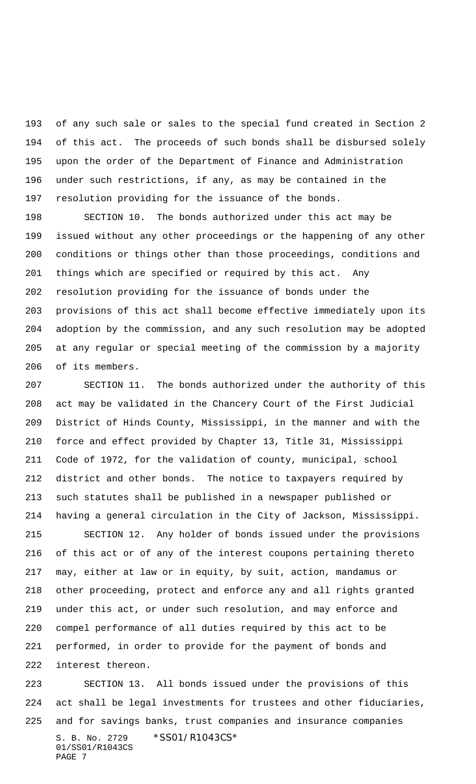of any such sale or sales to the special fund created in Section 2 of this act. The proceeds of such bonds shall be disbursed solely upon the order of the Department of Finance and Administration under such restrictions, if any, as may be contained in the resolution providing for the issuance of the bonds.

 SECTION 10. The bonds authorized under this act may be issued without any other proceedings or the happening of any other conditions or things other than those proceedings, conditions and things which are specified or required by this act. Any resolution providing for the issuance of bonds under the provisions of this act shall become effective immediately upon its adoption by the commission, and any such resolution may be adopted at any regular or special meeting of the commission by a majority of its members.

 SECTION 11. The bonds authorized under the authority of this act may be validated in the Chancery Court of the First Judicial District of Hinds County, Mississippi, in the manner and with the force and effect provided by Chapter 13, Title 31, Mississippi Code of 1972, for the validation of county, municipal, school district and other bonds. The notice to taxpayers required by such statutes shall be published in a newspaper published or having a general circulation in the City of Jackson, Mississippi.

 SECTION 12. Any holder of bonds issued under the provisions of this act or of any of the interest coupons pertaining thereto may, either at law or in equity, by suit, action, mandamus or other proceeding, protect and enforce any and all rights granted under this act, or under such resolution, and may enforce and compel performance of all duties required by this act to be performed, in order to provide for the payment of bonds and interest thereon.

S. B. No. 2729 \*SS01/R1043CS\* 01/SS01/R1043CS PAGE 7 SECTION 13. All bonds issued under the provisions of this act shall be legal investments for trustees and other fiduciaries, and for savings banks, trust companies and insurance companies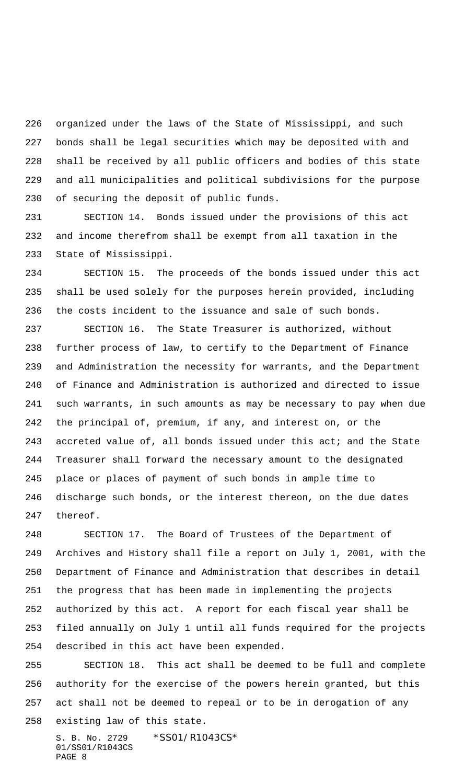organized under the laws of the State of Mississippi, and such bonds shall be legal securities which may be deposited with and shall be received by all public officers and bodies of this state and all municipalities and political subdivisions for the purpose of securing the deposit of public funds.

 SECTION 14. Bonds issued under the provisions of this act and income therefrom shall be exempt from all taxation in the State of Mississippi.

 SECTION 15. The proceeds of the bonds issued under this act shall be used solely for the purposes herein provided, including the costs incident to the issuance and sale of such bonds.

 SECTION 16. The State Treasurer is authorized, without further process of law, to certify to the Department of Finance and Administration the necessity for warrants, and the Department of Finance and Administration is authorized and directed to issue such warrants, in such amounts as may be necessary to pay when due the principal of, premium, if any, and interest on, or the accreted value of, all bonds issued under this act; and the State Treasurer shall forward the necessary amount to the designated place or places of payment of such bonds in ample time to discharge such bonds, or the interest thereon, on the due dates thereof.

 SECTION 17. The Board of Trustees of the Department of Archives and History shall file a report on July 1, 2001, with the Department of Finance and Administration that describes in detail the progress that has been made in implementing the projects authorized by this act. A report for each fiscal year shall be filed annually on July 1 until all funds required for the projects described in this act have been expended.

 SECTION 18. This act shall be deemed to be full and complete authority for the exercise of the powers herein granted, but this act shall not be deemed to repeal or to be in derogation of any

existing law of this state.

S. B. No. 2729 \*SS01/R1043CS\* 01/SS01/R1043CS PAGE 8